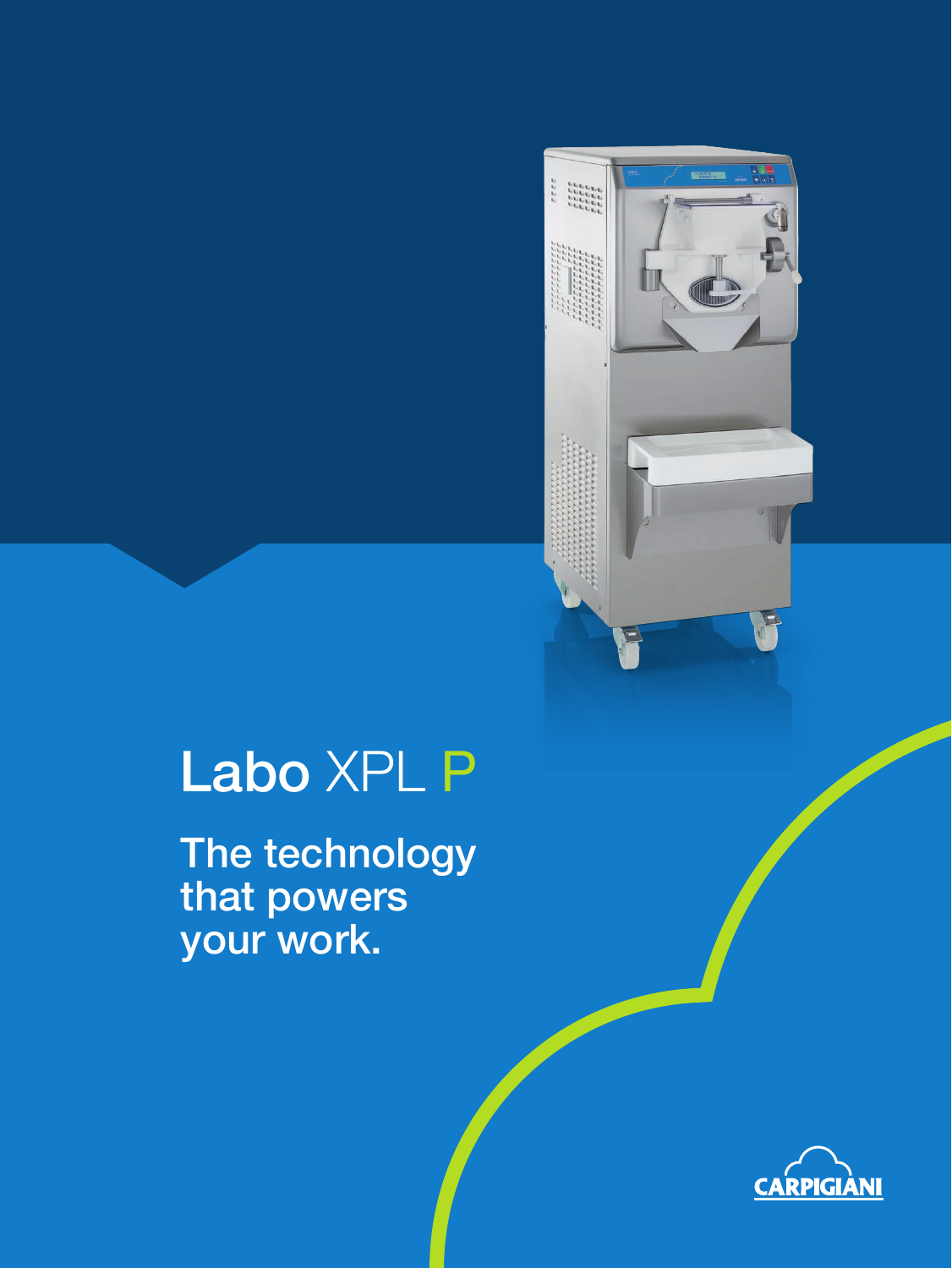## Labo XPL P

 $\begin{array}{c} \mathbf{u} \\ \mathbf{v} \\ \mathbf{v} \\ \mathbf{v} \\ \mathbf{v} \\ \mathbf{v} \\ \mathbf{v} \\ \mathbf{v} \\ \mathbf{v} \\ \mathbf{v} \\ \mathbf{v} \\ \mathbf{v} \\ \mathbf{v} \\ \mathbf{v} \\ \mathbf{v} \\ \mathbf{v} \\ \mathbf{v} \\ \mathbf{v} \\ \mathbf{v} \\ \mathbf{v} \\ \mathbf{v} \\ \mathbf{v} \\ \mathbf{v} \\ \mathbf{v} \\ \mathbf{v} \\ \mathbf{v} \\ \mathbf{v} \\ \mathbf{v} \\ \mathbf{v} \\ \mathbf{v} \\ \mathbf$ 

The technology that powers your work.

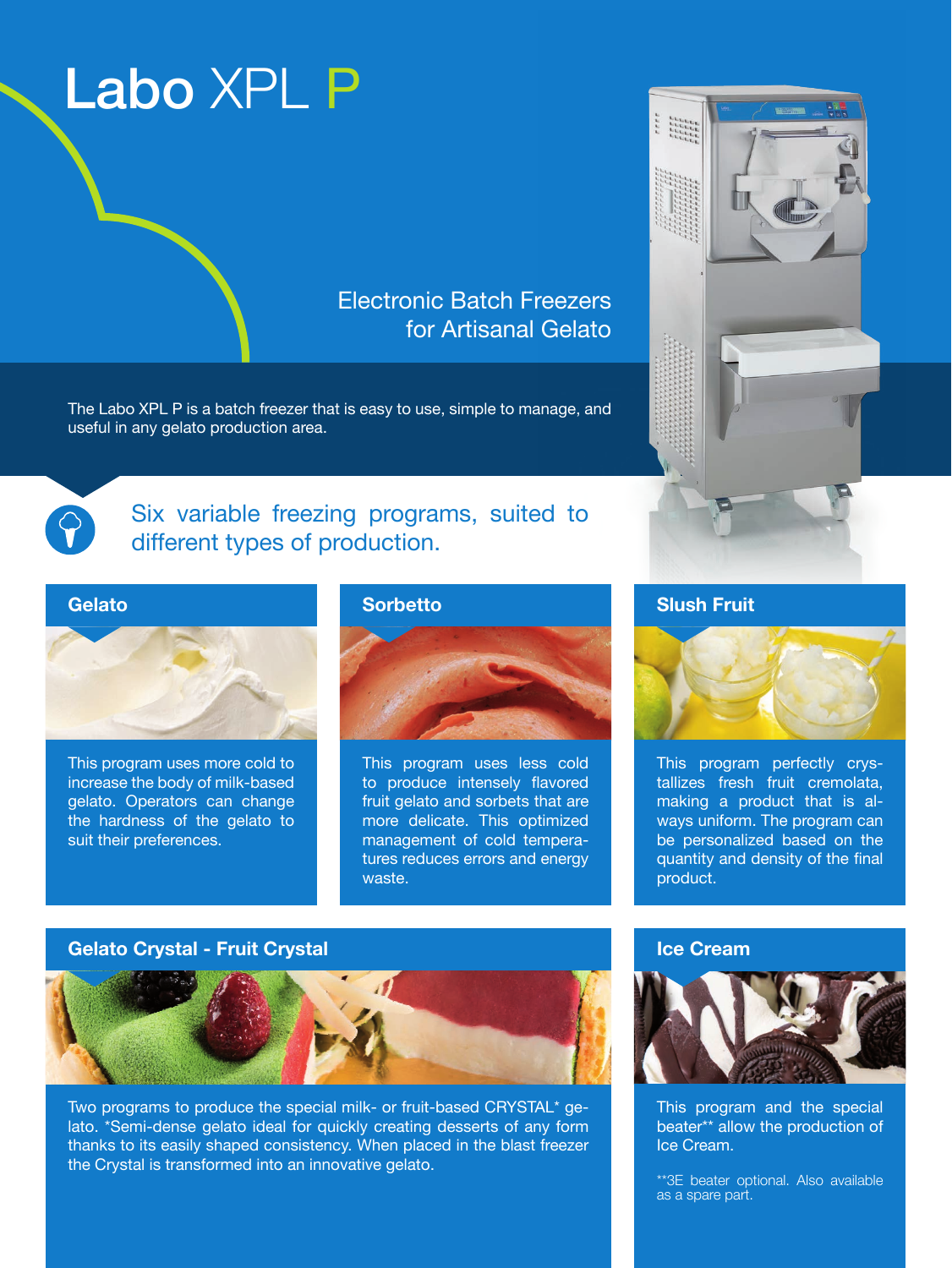### Labo XPL P

### Electronic Batch Freezers for Artisanal Gelato

The Labo XPL P is a batch freezer that is easy to use, simple to manage, and useful in any gelato production area.



Six variable freezing programs, suited to different types of production.

#### Gelato



This program uses more cold to increase the body of milk-based gelato. Operators can change the hardness of the gelato to suit their preferences.





This program uses less cold to produce intensely flavored fruit gelato and sorbets that are more delicate. This optimized management of cold temperatures reduces errors and energy waste.

# Slush Fruit



This program perfectly crystallizes fresh fruit cremolata, making a product that is always uniform. The program can be personalized based on the quantity and density of the final product.

#### Gelato Crystal - Fruit Crystal



Two programs to produce the special milk- or fruit-based CRYSTAL\* gelato. \*Semi-dense gelato ideal for quickly creating desserts of any form thanks to its easily shaped consistency. When placed in the blast freezer the Crystal is transformed into an innovative gelato.

#### Ice Cream



This program and the special beater\*\* allow the production of Ice Cream.

\*\*3E beater optional. Also available as a spare part.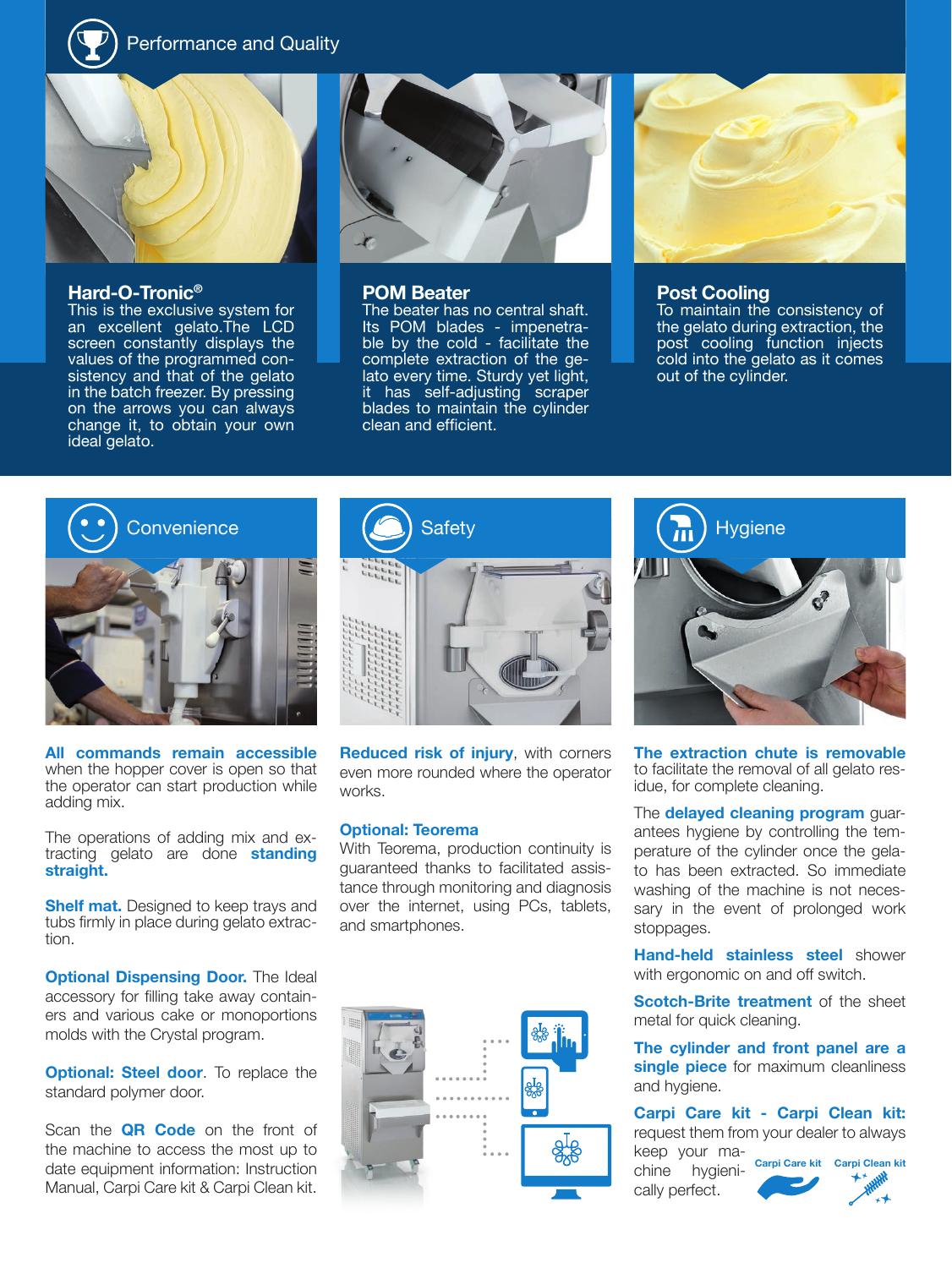Performance and Quality



#### Hard-O-Tronic®

This is the exclusive system for an excellent gelato. The LCD screen constantly displays the values of the programmed consistency and that of the gelato in the batch freezer. By pressing on the arrows you can always change it, to obtain your own ideal gelato.



#### POM Beater

The beater has no central shaft. Its POM blades - impenetrable by the cold - facilitate the complete extraction of the gelato every time. Sturdy yet light, it has self-adjusting scraper blades to maintain the cylinder clean and efficient.



#### Post Cooling

To maintain the consistency of the gelato during extraction, the post cooling function injects cold into the gelato as it comes out of the cylinder.



All commands remain accessible when the hopper cover is open so that the operator can start production while adding mix.

The operations of adding mix and extracting gelato are done standing straight.

**Shelf mat.** Designed to keep trays and tubs firmly in place during gelato extraction.

**Optional Dispensing Door.** The Ideal accessory for filling take away containers and various cake or monoportions molds with the Crystal program.

**Optional: Steel door**. To replace the standard polymer door.

Scan the **QR Code** on the front of the machine to access the most up to date equipment information: Instruction Manual, Carpi Care kit & Carpi Clean kit.



Reduced risk of injury, with corners even more rounded where the operator works.

#### Optional: Teorema

With Teorema, production continuity is guaranteed thanks to facilitated assistance through monitoring and diagnosis over the internet, using PCs, tablets, and smartphones.





The extraction chute is removable to facilitate the removal of all gelato residue, for complete cleaning.

The **delayed cleaning program** guarantees hygiene by controlling the temperature of the cylinder once the gelato has been extracted. So immediate washing of the machine is not necessary in the event of prolonged work stoppages.

Hand-held stainless steel shower with ergonomic on and off switch.

**Scotch-Brite treatment** of the sheet metal for quick cleaning.

The cylinder and front panel are a single piece for maximum cleanliness and hygiene.

Carpi Care kit - Carpi Clean kit: request them from your dealer to always keep your ma-

chine hygienically perfect.